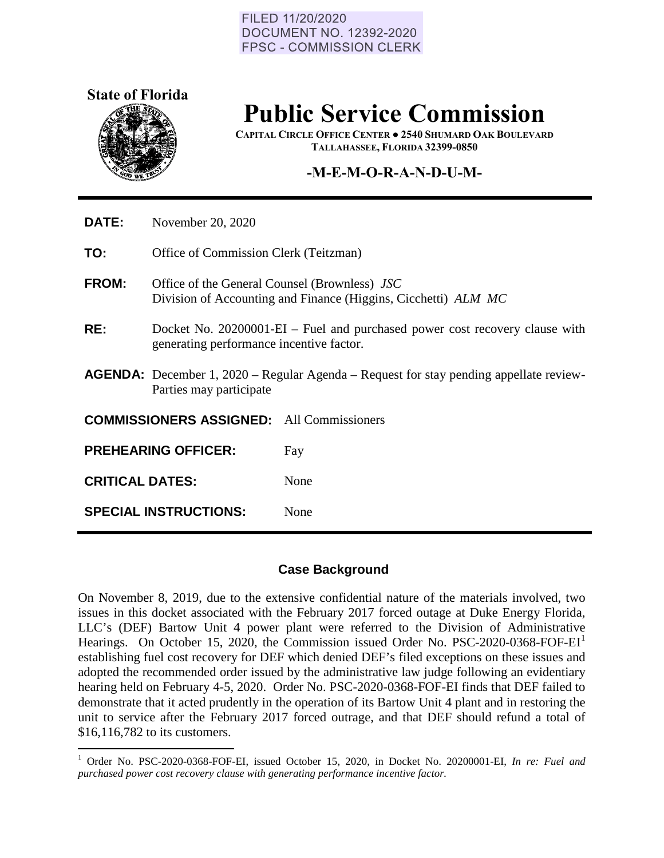#### FILED 11/20/2020 **DOCUMENT NO. 12392-2020 FPSC - COMMISSION CLERK**



# **Public Service Commission**

**CAPITAL CIRCLE OFFICE CENTER ● 2540 SHUMARD OAK BOULEVARD TALLAHASSEE, FLORIDA 32399-0850**

## **-M-E-M-O-R-A-N-D-U-M-**

| <b>DATE:</b>                                     | November 20, 2020                                                                                                        |      |
|--------------------------------------------------|--------------------------------------------------------------------------------------------------------------------------|------|
| TO:                                              | Office of Commission Clerk (Teitzman)                                                                                    |      |
| <b>FROM:</b>                                     | Office of the General Counsel (Brownless) JSC<br>Division of Accounting and Finance (Higgins, Cicchetti) ALM MC          |      |
| RE:                                              | Docket No. 20200001-EI – Fuel and purchased power cost recovery clause with<br>generating performance incentive factor.  |      |
|                                                  | <b>AGENDA:</b> December 1, 2020 – Regular Agenda – Request for stay pending appellate review-<br>Parties may participate |      |
| <b>COMMISSIONERS ASSIGNED:</b> All Commissioners |                                                                                                                          |      |
|                                                  | <b>PREHEARING OFFICER:</b>                                                                                               | Fay  |
| <b>CRITICAL DATES:</b>                           |                                                                                                                          | None |
|                                                  | <b>SPECIAL INSTRUCTIONS:</b>                                                                                             | None |

#### **Case Background**

On November 8, 2019, due to the extensive confidential nature of the materials involved, two issues in this docket associated with the February 2017 forced outage at Duke Energy Florida, LLC's (DEF) Bartow Unit 4 power plant were referred to the Division of Administrative Hearings. On October [1](#page-0-0)5, 2020, the Commission issued Order No. PSC-2020-0368-FOF-EI<sup>1</sup> establishing fuel cost recovery for DEF which denied DEF's filed exceptions on these issues and adopted the recommended order issued by the administrative law judge following an evidentiary hearing held on February 4-5, 2020. Order No. PSC-2020-0368-FOF-EI finds that DEF failed to demonstrate that it acted prudently in the operation of its Bartow Unit 4 plant and in restoring the unit to service after the February 2017 forced outrage, and that DEF should refund a total of \$16,116,782 to its customers.

<span id="page-0-0"></span><sup>1</sup> Order No. PSC-2020-0368-FOF-EI, issued October 15, 2020, in Docket No. 20200001-EI, *In re: Fuel and purchased power cost recovery clause with generating performance incentive factor.*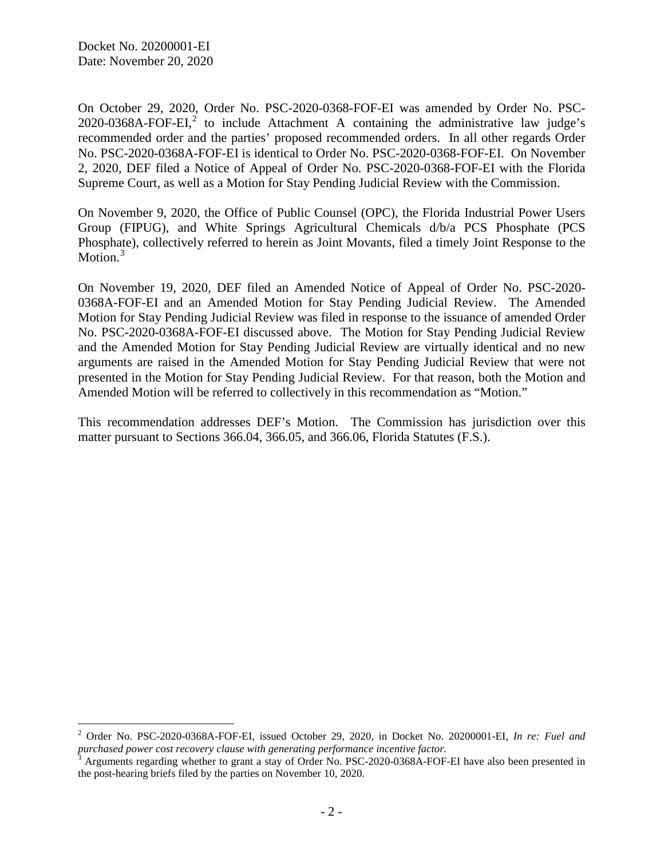$\overline{a}$ 

On October 29, 2020, Order No. PSC-2020-0368-FOF-EI was amended by Order No. PSC- $2020$  $2020$ -0368A-FOF-EI,<sup>2</sup> to include Attachment A containing the administrative law judge's recommended order and the parties' proposed recommended orders. In all other regards Order No. PSC-2020-0368A-FOF-EI is identical to Order No. PSC-2020-0368-FOF-EI. On November 2, 2020, DEF filed a Notice of Appeal of Order No. PSC-2020-0368-FOF-EI with the Florida Supreme Court, as well as a Motion for Stay Pending Judicial Review with the Commission.

On November 9, 2020, the Office of Public Counsel (OPC), the Florida Industrial Power Users Group (FIPUG), and White Springs Agricultural Chemicals d/b/a PCS Phosphate (PCS Phosphate), collectively referred to herein as Joint Movants, filed a timely Joint Response to the Motion.<sup>[3](#page-1-1)</sup>

On November 19, 2020, DEF filed an Amended Notice of Appeal of Order No. PSC-2020- 0368A-FOF-EI and an Amended Motion for Stay Pending Judicial Review. The Amended Motion for Stay Pending Judicial Review was filed in response to the issuance of amended Order No. PSC-2020-0368A-FOF-EI discussed above. The Motion for Stay Pending Judicial Review and the Amended Motion for Stay Pending Judicial Review are virtually identical and no new arguments are raised in the Amended Motion for Stay Pending Judicial Review that were not presented in the Motion for Stay Pending Judicial Review. For that reason, both the Motion and Amended Motion will be referred to collectively in this recommendation as "Motion."

This recommendation addresses DEF's Motion. The Commission has jurisdiction over this matter pursuant to Sections 366.04, 366.05, and 366.06, Florida Statutes (F.S.).

<span id="page-1-0"></span><sup>2</sup> Order No. PSC-2020-0368A-FOF-EI, issued October 29, 2020, in Docket No. 20200001-EI, *In re: Fuel and purchased power cost recovery clause with generating performance incentive factor.*

<span id="page-1-1"></span> $3$  Arguments regarding whether to grant a stay of Order No. PSC-2020-0368A-FOF-EI have also been presented in the post-hearing briefs filed by the parties on November 10, 2020.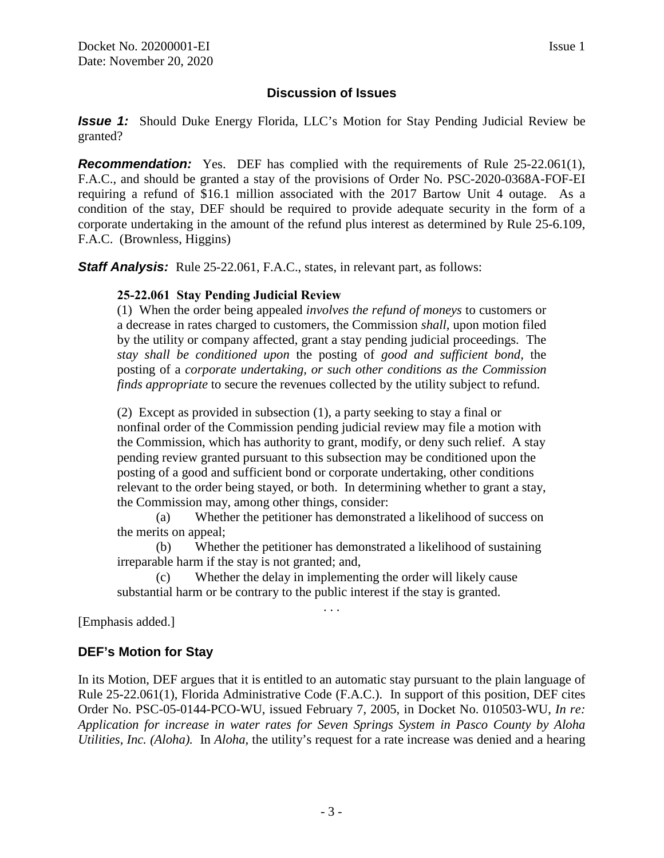## **Discussion of Issues**

*Issue 1:* Should Duke Energy Florida, LLC's Motion for Stay Pending Judicial Review be granted?

**Recommendation:** Yes. DEF has complied with the requirements of Rule 25-22.061(1), F.A.C., and should be granted a stay of the provisions of Order No. PSC-2020-0368A-FOF-EI requiring a refund of \$16.1 million associated with the 2017 Bartow Unit 4 outage. As a condition of the stay, DEF should be required to provide adequate security in the form of a corporate undertaking in the amount of the refund plus interest as determined by Rule 25-6.109, F.A.C. (Brownless, Higgins)

**Staff Analysis:** Rule 25-22.061, F.A.C., states, in relevant part, as follows:

#### **25-22.061 Stay Pending Judicial Review**

(1) When the order being appealed *involves the refund of moneys* to customers or a decrease in rates charged to customers, the Commission *shall,* upon motion filed by the utility or company affected, grant a stay pending judicial proceedings. The *stay shall be conditioned upon* the posting of *good and sufficient bond,* the posting of a *corporate undertaking, or such other conditions as the Commission finds appropriate* to secure the revenues collected by the utility subject to refund.

(2) Except as provided in subsection (1), a party seeking to stay a final or nonfinal order of the Commission pending judicial review may file a motion with the Commission, which has authority to grant, modify, or deny such relief. A stay pending review granted pursuant to this subsection may be conditioned upon the posting of a good and sufficient bond or corporate undertaking, other conditions relevant to the order being stayed, or both. In determining whether to grant a stay, the Commission may, among other things, consider:

(a) Whether the petitioner has demonstrated a likelihood of success on the merits on appeal;

(b) Whether the petitioner has demonstrated a likelihood of sustaining irreparable harm if the stay is not granted; and,

. . .

(c) Whether the delay in implementing the order will likely cause substantial harm or be contrary to the public interest if the stay is granted.

[Emphasis added.]

#### **DEF's Motion for Stay**

In its Motion, DEF argues that it is entitled to an automatic stay pursuant to the plain language of Rule 25-22.061(1), Florida Administrative Code (F.A.C.). In support of this position, DEF cites Order No. PSC-05-0144-PCO-WU, issued February 7, 2005, in Docket No. 010503-WU, *In re: Application for increase in water rates for Seven Springs System in Pasco County by Aloha Utilities, Inc. (Aloha).* In *Aloha,* the utility's request for a rate increase was denied and a hearing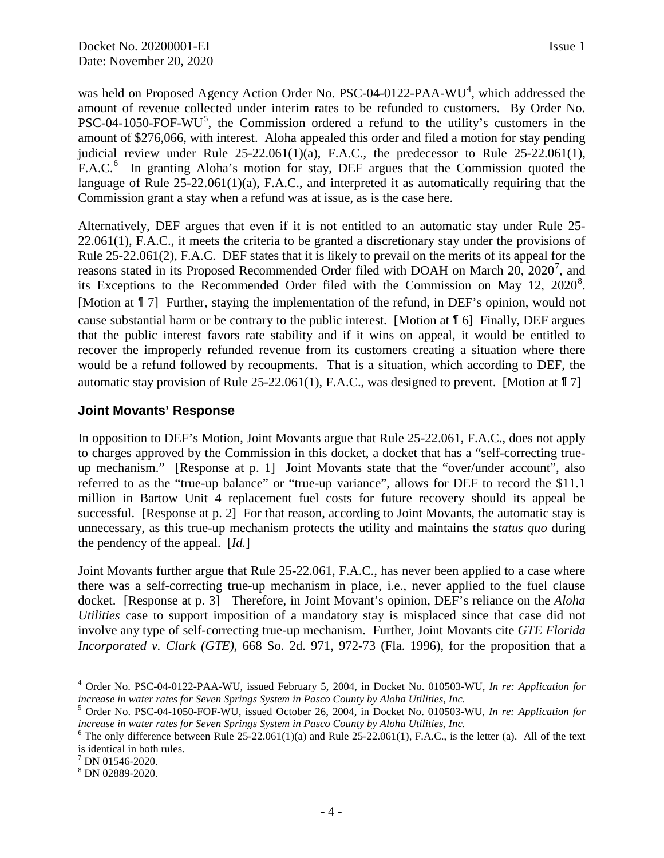was held on Proposed Agency Action Order No. PSC-0[4](#page-3-0)-0122-PAA-WU<sup>4</sup>, which addressed the amount of revenue collected under interim rates to be refunded to customers. By Order No.  $PSC-04-1050-FOF-WU<sup>5</sup>$  $PSC-04-1050-FOF-WU<sup>5</sup>$  $PSC-04-1050-FOF-WU<sup>5</sup>$ , the Commission ordered a refund to the utility's customers in the amount of \$276,066, with interest. Aloha appealed this order and filed a motion for stay pending judicial review under Rule  $25-22.061(1)(a)$ , F.A.C., the predecessor to Rule  $25-22.061(1)$ , F.A.C.<sup>[6](#page-3-2)</sup> In granting Aloha's motion for stay, DEF argues that the Commission quoted the language of Rule 25-22.061(1)(a), F.A.C., and interpreted it as automatically requiring that the Commission grant a stay when a refund was at issue, as is the case here.

Alternatively, DEF argues that even if it is not entitled to an automatic stay under Rule 25- 22.061(1), F.A.C., it meets the criteria to be granted a discretionary stay under the provisions of Rule 25-22.061(2), F.A.C. DEF states that it is likely to prevail on the merits of its appeal for the reasons stated in its Proposed Recommended Order filed with DOAH on March 20, 2020<sup>[7](#page-3-3)</sup>, and its Exceptions to the Recommended Order filed with the Commission on May  $12$ ,  $2020^8$  $2020^8$ . [Motion at ¶ 7] Further, staying the implementation of the refund, in DEF's opinion, would not cause substantial harm or be contrary to the public interest. [Motion at ¶ 6] Finally, DEF argues that the public interest favors rate stability and if it wins on appeal, it would be entitled to recover the improperly refunded revenue from its customers creating a situation where there would be a refund followed by recoupments. That is a situation, which according to DEF, the automatic stay provision of Rule 25-22.061(1), F.A.C., was designed to prevent. [Motion at  $\llbracket 7 \rrbracket$ 

### **Joint Movants' Response**

In opposition to DEF's Motion, Joint Movants argue that Rule 25-22.061, F.A.C., does not apply to charges approved by the Commission in this docket, a docket that has a "self-correcting trueup mechanism." [Response at p. 1] Joint Movants state that the "over/under account", also referred to as the "true-up balance" or "true-up variance", allows for DEF to record the \$11.1 million in Bartow Unit 4 replacement fuel costs for future recovery should its appeal be successful. [Response at p. 2] For that reason, according to Joint Movants, the automatic stay is unnecessary, as this true-up mechanism protects the utility and maintains the *status quo* during the pendency of the appeal. [*Id.*]

Joint Movants further argue that Rule 25-22.061, F.A.C., has never been applied to a case where there was a self-correcting true-up mechanism in place, i.e., never applied to the fuel clause docket. [Response at p. 3] Therefore, in Joint Movant's opinion, DEF's reliance on the *Aloha Utilities* case to support imposition of a mandatory stay is misplaced since that case did not involve any type of self-correcting true-up mechanism. Further, Joint Movants cite *GTE Florida Incorporated v. Clark (GTE),* 668 So. 2d. 971, 972-73 (Fla. 1996), for the proposition that a

<span id="page-3-0"></span> $\overline{a}$ <sup>4</sup> Order No. PSC-04-0122-PAA-WU, issued February 5, 2004, in Docket No. 010503-WU, *In re: Application for increase in water rates for Seven Springs System in Pasco County by Aloha Utilities, Inc.* 

<span id="page-3-1"></span><sup>5</sup> Order No. PSC-04-1050-FOF-WU, issued October 26, 2004, in Docket No. 010503-WU, *In re: Application for increase in water rates for Seven Springs System in Pasco County by Aloha Utilities, Inc.* 

<span id="page-3-2"></span><sup>&</sup>lt;sup>6</sup> The only difference between Rule  $25-22.061(1)(a)$  and Rule  $25-22.061(1)$ , F.A.C., is the letter (a). All of the text is identical in both rules.

<span id="page-3-3"></span> $\frac{7}{8}$  DN 01546-2020.<br>  $\frac{8}{8}$  DN 02889-2020.

<span id="page-3-4"></span>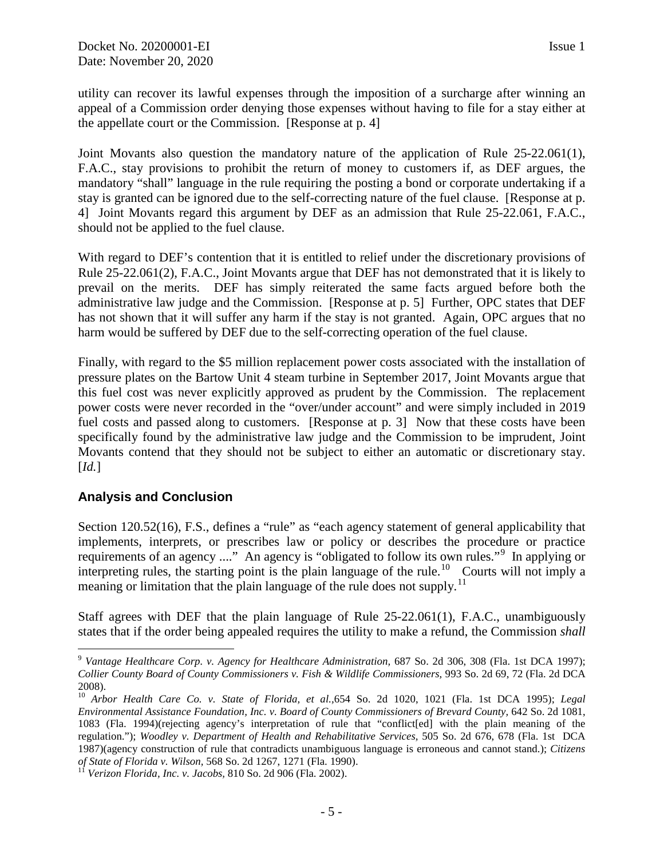utility can recover its lawful expenses through the imposition of a surcharge after winning an appeal of a Commission order denying those expenses without having to file for a stay either at the appellate court or the Commission. [Response at p. 4]

Joint Movants also question the mandatory nature of the application of Rule 25-22.061(1), F.A.C., stay provisions to prohibit the return of money to customers if, as DEF argues, the mandatory "shall" language in the rule requiring the posting a bond or corporate undertaking if a stay is granted can be ignored due to the self-correcting nature of the fuel clause. [Response at p. 4] Joint Movants regard this argument by DEF as an admission that Rule 25-22.061, F.A.C., should not be applied to the fuel clause.

With regard to DEF's contention that it is entitled to relief under the discretionary provisions of Rule 25-22.061(2), F.A.C., Joint Movants argue that DEF has not demonstrated that it is likely to prevail on the merits. DEF has simply reiterated the same facts argued before both the administrative law judge and the Commission. [Response at p. 5] Further, OPC states that DEF has not shown that it will suffer any harm if the stay is not granted. Again, OPC argues that no harm would be suffered by DEF due to the self-correcting operation of the fuel clause.

Finally, with regard to the \$5 million replacement power costs associated with the installation of pressure plates on the Bartow Unit 4 steam turbine in September 2017, Joint Movants argue that this fuel cost was never explicitly approved as prudent by the Commission. The replacement power costs were never recorded in the "over/under account" and were simply included in 2019 fuel costs and passed along to customers. [Response at p. 3] Now that these costs have been specifically found by the administrative law judge and the Commission to be imprudent, Joint Movants contend that they should not be subject to either an automatic or discretionary stay. [*Id.*]

## **Analysis and Conclusion**

Section 120.52(16), F.S., defines a "rule" as "each agency statement of general applicability that implements, interprets, or prescribes law or policy or describes the procedure or practice requirements of an agency ...." An agency is "obligated to follow its own rules."<sup>[9](#page-4-0)</sup> In applying or interpreting rules, the starting point is the plain language of the rule.<sup>[10](#page-4-1)</sup> Courts will not imply a meaning or limitation that the plain language of the rule does not supply.<sup>[11](#page-4-2)</sup>

Staff agrees with DEF that the plain language of Rule 25-22.061(1), F.A.C., unambiguously states that if the order being appealed requires the utility to make a refund, the Commission *shall* 

<span id="page-4-0"></span> $\overline{a}$ <sup>9</sup> *Vantage Healthcare Corp. v. Agency for Healthcare Administration,* 687 So. 2d 306, 308 (Fla. 1st DCA 1997); *Collier County Board of County Commissioners v. Fish & Wildlife Commissioners,* 993 So. 2d 69, 72 (Fla. 2d DCA 2008).

<span id="page-4-1"></span><sup>10</sup> *Arbor Health Care Co. v. State of Florida, et al.,*654 So. 2d 1020, 1021 (Fla. 1st DCA 1995); *Legal Environmental Assistance Foundation, Inc. v. Board of County Commissioners of Brevard County,* 642 So. 2d 1081, 1083 (Fla. 1994)(rejecting agency's interpretation of rule that "conflict[ed] with the plain meaning of the regulation."); *Woodley v. Department of Health and Rehabilitative Services,* 505 So. 2d 676, 678 (Fla. 1st DCA 1987)(agency construction of rule that contradicts unambiguous language is erroneous and cannot stand.); *Citizens* 

<span id="page-4-2"></span><sup>&</sup>lt;sup>11</sup> Verizon Florida, Inc. v. Jacobs, 810 So. 2d 906 (Fla. 2002).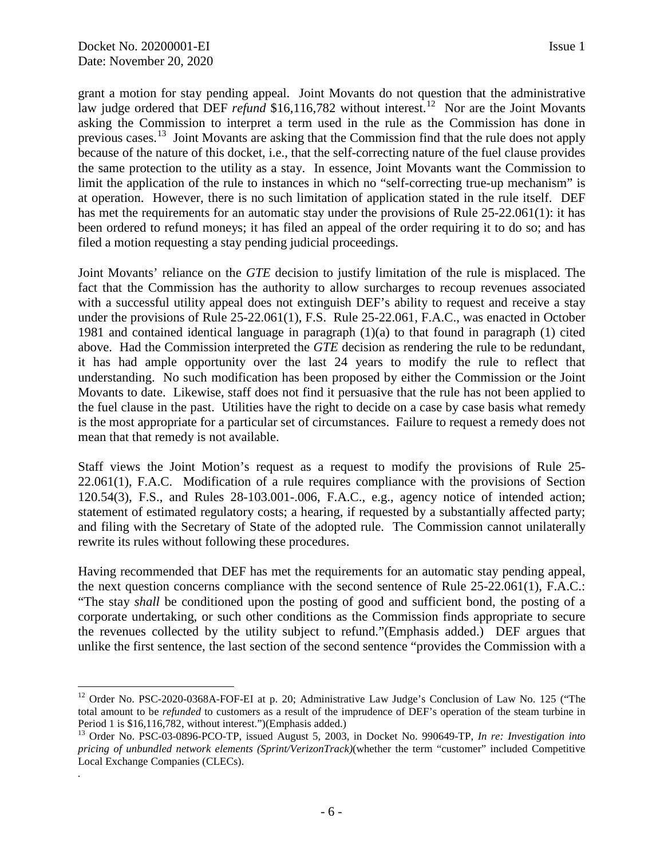*.* 

grant a motion for stay pending appeal. Joint Movants do not question that the administrative law judge ordered that DEF *refund* \$16,116,782 without interest.<sup>12</sup> Nor are the Joint Movants asking the Commission to interpret a term used in the rule as the Commission has done in previous cases.<sup>[13](#page-5-1)</sup> Joint Movants are asking that the Commission find that the rule does not apply because of the nature of this docket, i.e., that the self-correcting nature of the fuel clause provides the same protection to the utility as a stay. In essence, Joint Movants want the Commission to limit the application of the rule to instances in which no "self-correcting true-up mechanism" is at operation. However, there is no such limitation of application stated in the rule itself. DEF has met the requirements for an automatic stay under the provisions of Rule 25-22.061(1): it has been ordered to refund moneys; it has filed an appeal of the order requiring it to do so; and has filed a motion requesting a stay pending judicial proceedings.

Joint Movants' reliance on the *GTE* decision to justify limitation of the rule is misplaced. The fact that the Commission has the authority to allow surcharges to recoup revenues associated with a successful utility appeal does not extinguish DEF's ability to request and receive a stay under the provisions of Rule 25-22.061(1), F.S. Rule 25-22.061, F.A.C., was enacted in October 1981 and contained identical language in paragraph (1)(a) to that found in paragraph (1) cited above. Had the Commission interpreted the *GTE* decision as rendering the rule to be redundant, it has had ample opportunity over the last 24 years to modify the rule to reflect that understanding. No such modification has been proposed by either the Commission or the Joint Movants to date. Likewise, staff does not find it persuasive that the rule has not been applied to the fuel clause in the past. Utilities have the right to decide on a case by case basis what remedy is the most appropriate for a particular set of circumstances. Failure to request a remedy does not mean that that remedy is not available.

Staff views the Joint Motion's request as a request to modify the provisions of Rule 25- 22.061(1), F.A.C. Modification of a rule requires compliance with the provisions of Section 120.54(3), F.S., and Rules 28-103.001-.006, F.A.C., e.g., agency notice of intended action; statement of estimated regulatory costs; a hearing, if requested by a substantially affected party; and filing with the Secretary of State of the adopted rule. The Commission cannot unilaterally rewrite its rules without following these procedures.

Having recommended that DEF has met the requirements for an automatic stay pending appeal, the next question concerns compliance with the second sentence of Rule 25-22.061(1), F.A.C.: "The stay *shall* be conditioned upon the posting of good and sufficient bond, the posting of a corporate undertaking, or such other conditions as the Commission finds appropriate to secure the revenues collected by the utility subject to refund."(Emphasis added.) DEF argues that unlike the first sentence, the last section of the second sentence "provides the Commission with a

<span id="page-5-0"></span> $\overline{a}$ <sup>12</sup> Order No. PSC-2020-0368A-FOF-EI at p. 20; Administrative Law Judge's Conclusion of Law No. 125 ("The total amount to be *refunded* to customers as a result of the imprudence of DEF's operation of the steam turbine in Period 1 is \$16,116,782, without interest.")(Emphasis added.)

<span id="page-5-1"></span><sup>13</sup> Order No. PSC-03-0896-PCO-TP, issued August 5, 2003, in Docket No. 990649-TP, *In re: Investigation into pricing of unbundled network elements (Sprint/VerizonTrack)*(whether the term "customer" included Competitive Local Exchange Companies (CLECs).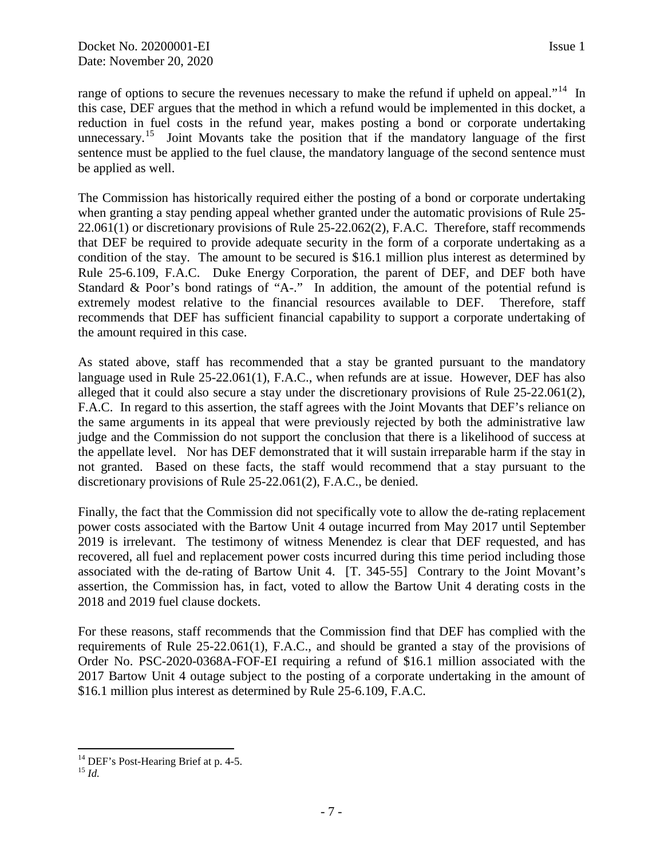range of options to secure the revenues necessary to make the refund if upheld on appeal."<sup>[14](#page-6-0)</sup> In this case, DEF argues that the method in which a refund would be implemented in this docket, a reduction in fuel costs in the refund year, makes posting a bond or corporate undertaking unnecessary.<sup>[15](#page-6-1)</sup> Joint Movants take the position that if the mandatory language of the first sentence must be applied to the fuel clause, the mandatory language of the second sentence must be applied as well.

The Commission has historically required either the posting of a bond or corporate undertaking when granting a stay pending appeal whether granted under the automatic provisions of Rule 25- 22.061(1) or discretionary provisions of Rule 25-22.062(2), F.A.C. Therefore, staff recommends that DEF be required to provide adequate security in the form of a corporate undertaking as a condition of the stay. The amount to be secured is \$16.1 million plus interest as determined by Rule 25-6.109, F.A.C. Duke Energy Corporation, the parent of DEF, and DEF both have Standard & Poor's bond ratings of "A-." In addition, the amount of the potential refund is extremely modest relative to the financial resources available to DEF. Therefore, staff recommends that DEF has sufficient financial capability to support a corporate undertaking of the amount required in this case.

As stated above, staff has recommended that a stay be granted pursuant to the mandatory language used in Rule 25-22.061(1), F.A.C., when refunds are at issue. However, DEF has also alleged that it could also secure a stay under the discretionary provisions of Rule 25-22.061(2), F.A.C. In regard to this assertion, the staff agrees with the Joint Movants that DEF's reliance on the same arguments in its appeal that were previously rejected by both the administrative law judge and the Commission do not support the conclusion that there is a likelihood of success at the appellate level. Nor has DEF demonstrated that it will sustain irreparable harm if the stay in not granted. Based on these facts, the staff would recommend that a stay pursuant to the discretionary provisions of Rule 25-22.061(2), F.A.C., be denied.

Finally, the fact that the Commission did not specifically vote to allow the de-rating replacement power costs associated with the Bartow Unit 4 outage incurred from May 2017 until September 2019 is irrelevant. The testimony of witness Menendez is clear that DEF requested, and has recovered, all fuel and replacement power costs incurred during this time period including those associated with the de-rating of Bartow Unit 4. [T. 345-55] Contrary to the Joint Movant's assertion, the Commission has, in fact, voted to allow the Bartow Unit 4 derating costs in the 2018 and 2019 fuel clause dockets.

For these reasons, staff recommends that the Commission find that DEF has complied with the requirements of Rule 25-22.061(1), F.A.C., and should be granted a stay of the provisions of Order No. PSC-2020-0368A-FOF-EI requiring a refund of \$16.1 million associated with the 2017 Bartow Unit 4 outage subject to the posting of a corporate undertaking in the amount of \$16.1 million plus interest as determined by Rule 25-6.109, F.A.C.

 $\overline{a}$ <sup>14</sup> DEF's Post-Hearing Brief at p. 4-5.<br><sup>15</sup> *Id.* 

<span id="page-6-1"></span><span id="page-6-0"></span>